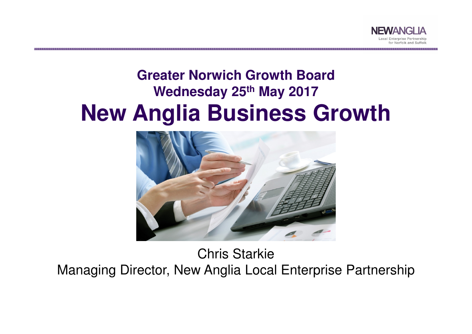

#### **Greater Norwich Growth BoardWednesday 25th May 2017New Anglia Business Growth**



Chris Starkie Managing Director, New Anglia Local Enterprise Partnership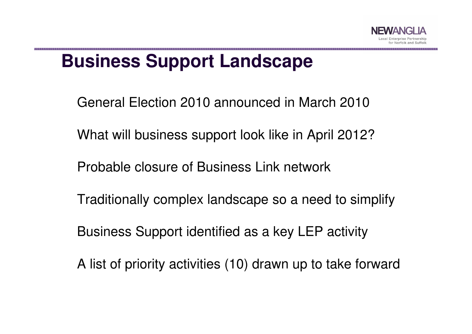

### **Business Support Landscape**

General Election 2010 announced in March 2010

What will business support look like in April 2012?

Probable closure of Business Link network

Traditionally complex landscape so a need to simplify

Business Support identified as a key LEP activity

A list of priority activities (10) drawn up to take forward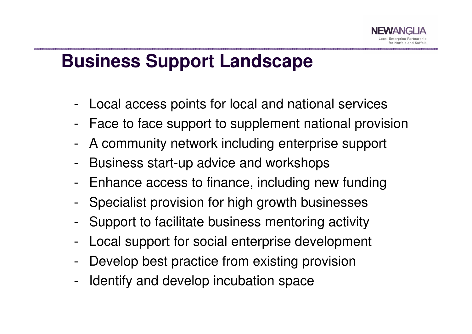## **Business Support Landscape**

- -Local access points for local and national services
- -Face to face support to supplement national provision
- A community network including enterprise support
- -Business start-up advice and workshops
- -Enhance access to finance, including new funding
- -Specialist provision for high growth businesses
- -Support to facilitate business mentoring activity
- -Local support for social enterprise development
- -Develop best practice from existing provision
- -Identify and develop incubation space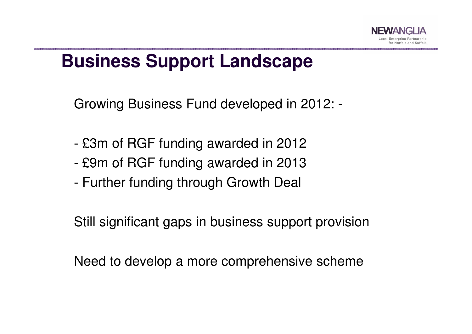## **Business Support Landscape**

Growing Business Fund developed in 2012: -

- £3m of RGF funding awarded in 2012
- -£9m of RGF funding awarded in 2013
- -Further funding through Growth Deal

Still significant gaps in business support provision

Need to develop a more comprehensive scheme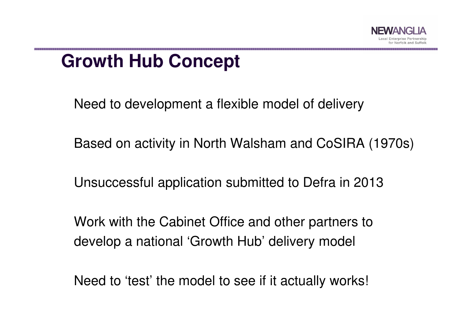

## **Growth Hub Concept**

Need to development a flexible model of delivery

Based on activity in North Walsham and CoSIRA (1970s)

Unsuccessful application submitted to Defra in 2013

Work with the Cabinet Office and other partners to develop a national 'Growth Hub' delivery model

Need to 'test' the model to see if it actually works!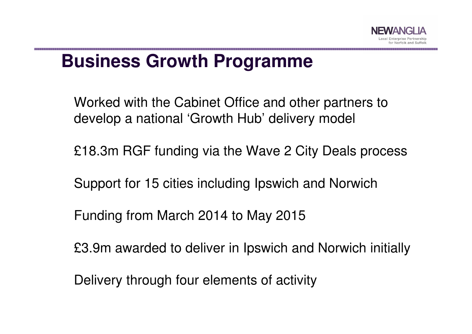## **Business Growth Programme**

Worked with the Cabinet Office and other partners to develop a national 'Growth Hub' delivery model

£18.3m RGF funding via the Wave 2 City Deals process

Support for 15 cities including Ipswich and Norwich

Funding from March 2014 to May 2015

£3.9m awarded to deliver in Ipswich and Norwich initially

Delivery through four elements of activity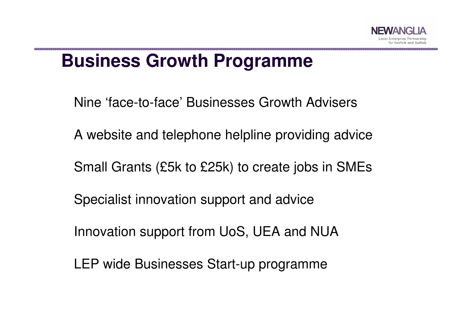## **Business Growth Programme**

Nine 'face-to-face' Businesses Growth Advisers

A website and telephone helpline providing advice

Small Grants (£5k to £25k) to create jobs in SMEs

Specialist innovation support and advice

Innovation support from UoS, UEA and NUA

LEP wide Businesses Start-up programme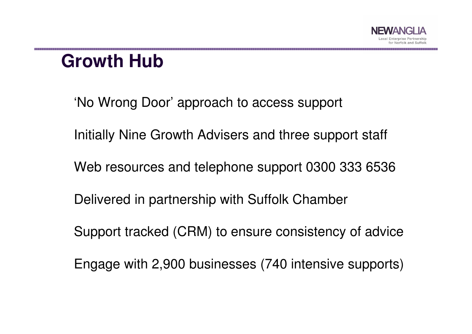## **Growth Hub**

'No Wrong Door' approach to access support

Initially Nine Growth Advisers and three support staff

Web resources and telephone support 0300 333 6536

Delivered in partnership with Suffolk Chamber

Support tracked (CRM) to ensure consistency of advice

Engage with 2,900 businesses (740 intensive supports)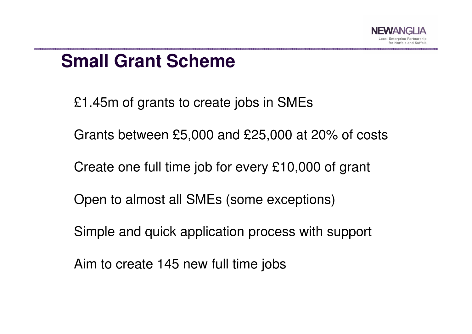

## **Small Grant Scheme**

£1.45m of grants to create jobs in SMEs

Grants between £5,000 and £25,000 at 20% of costs

Create one full time job for every £10,000 of grant

Open to almost all SMEs (some exceptions)

Simple and quick application process with support

Aim to create 145 new full time jobs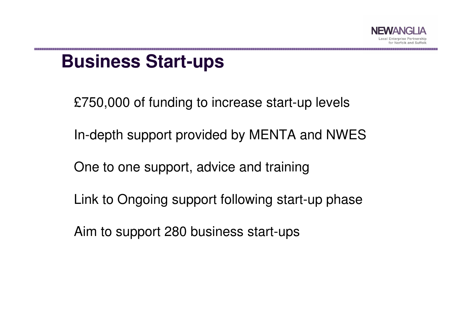

## **Business Start-ups**

£750,000 of funding to increase start-up levels

In-depth support provided by MENTA and NWES

One to one support, advice and training

Link to Ongoing support following start-up phase

Aim to support 280 business start-ups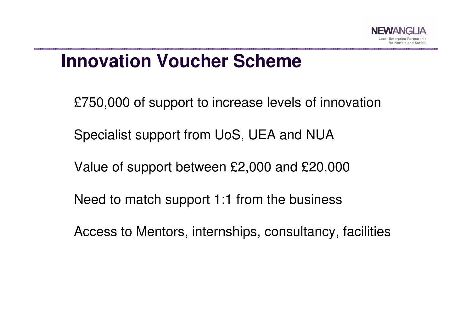

## **Innovation Voucher Scheme**

£750,000 of support to increase levels of innovation

Specialist support from UoS, UEA and NUA

Value of support between £2,000 and £20,000

Need to match support 1:1 from the business

Access to Mentors, internships, consultancy, facilities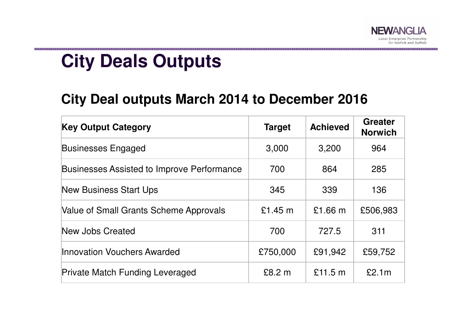

.<br>20 The The The The The Theory of the The The Theory of the The The Theory of the Theory of the Theory of the T

# **City Deals Outputs**

#### **City Deal outputs March 2014 to December 2016**

| <b>Key Output Category</b>                        | <b>Target</b> | <b>Achieved</b> | <b>Greater</b><br><b>Norwich</b> |
|---------------------------------------------------|---------------|-----------------|----------------------------------|
| <b>Businesses Engaged</b>                         | 3,000         | 3,200           | 964                              |
| <b>Businesses Assisted to Improve Performance</b> | 700           | 864             | 285                              |
| <b>New Business Start Ups</b>                     | 345           | 339             | 136                              |
| <b>Value of Small Grants Scheme Approvals</b>     | £1.45 m       | $£1.66$ m       | £506,983                         |
| New Jobs Created                                  | 700           | 727.5           | 311                              |
| Innovation Vouchers Awarded                       | £750,000      | £91,942         | £59,752                          |
| <b>Private Match Funding Leveraged</b>            | £8.2 m        | £11.5 m         | £2.1m                            |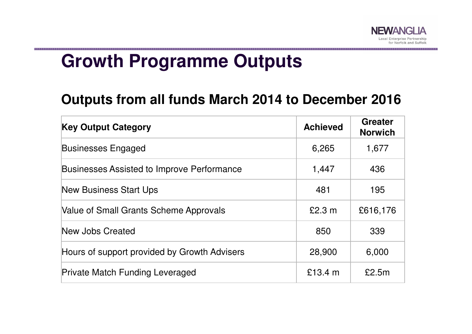

## **Growth Programme Outputs**

#### **Outputs from all funds March 2014 to December 2016**

| <b>Key Output Category</b>                        | <b>Achieved</b> | <b>Greater</b><br><b>Norwich</b> |
|---------------------------------------------------|-----------------|----------------------------------|
| <b>Businesses Engaged</b>                         | 6,265           | 1,677                            |
| <b>Businesses Assisted to Improve Performance</b> | 1,447           | 436                              |
| <b>New Business Start Ups</b>                     | 481             | 195                              |
| Value of Small Grants Scheme Approvals            | £2.3 m          | £616,176                         |
| New Jobs Created                                  | 850             | 339                              |
| Hours of support provided by Growth Advisers      | 28,900          | 6,000                            |
| <b>Private Match Funding Leveraged</b>            | £13.4 $m$       | £2.5m                            |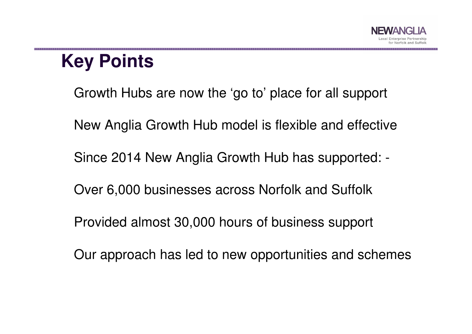# **Key Points**

Growth Hubs are now the 'go to' place for all support

New Anglia Growth Hub model is flexible and effective

Since 2014 New Anglia Growth Hub has supported: -

Over 6,000 businesses across Norfolk and Suffolk

Provided almost 30,000 hours of business support

Our approach has led to new opportunities and schemes